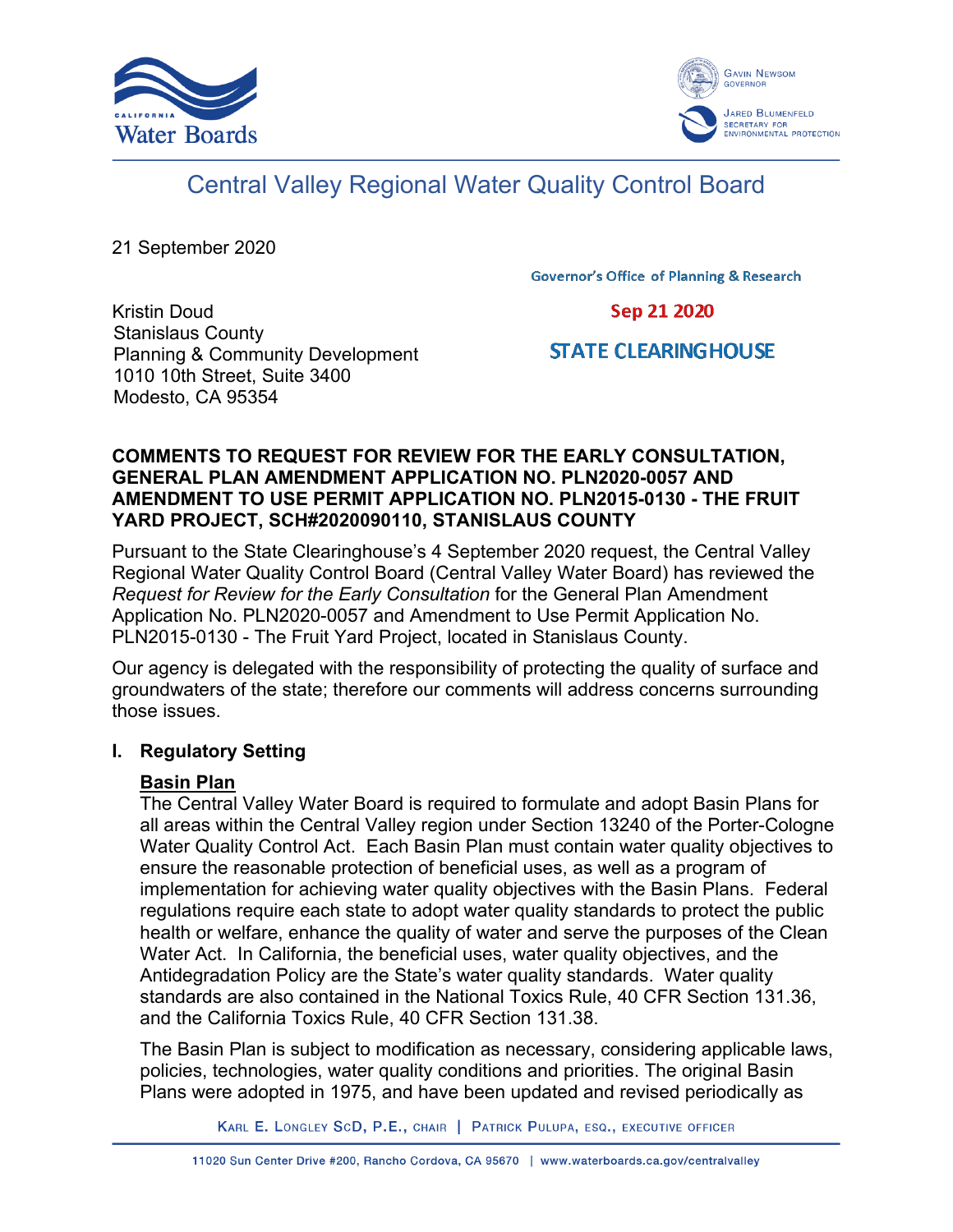



# Central Valley Regional Water Quality Control Board

21 September 2020

**Governor's Office of Planning & Research** 

Kristin Doud Stanislaus County Planning & Community Development 1010 10th Street, Suite 3400 Modesto, CA 95354

Sep 21 2020

# **STATE CLEARING HOUSE**

#### **COMMENTS TO REQUEST FOR REVIEW FOR THE EARLY CONSULTATION, GENERAL PLAN AMENDMENT APPLICATION NO. PLN2020-0057 AND AMENDMENT TO USE PERMIT APPLICATION NO. PLN2015-0130 - THE FRUIT YARD PROJECT, SCH#2020090110, STANISLAUS COUNTY**

Pursuant to the State Clearinghouse's 4 September 2020 request, the Central Valley Regional Water Quality Control Board (Central Valley Water Board) has reviewed the *Request for Review for the Early Consultation* for the General Plan Amendment Application No. PLN2020-0057 and Amendment to Use Permit Application No. PLN2015-0130 - The Fruit Yard Project, located in Stanislaus County.

Our agency is delegated with the responsibility of protecting the quality of surface and groundwaters of the state; therefore our comments will address concerns surrounding those issues.

# **I. Regulatory Setting**

# **Basin Plan**

The Central Valley Water Board is required to formulate and adopt Basin Plans for all areas within the Central Valley region under Section 13240 of the Porter-Cologne Water Quality Control Act. Each Basin Plan must contain water quality objectives to ensure the reasonable protection of beneficial uses, as well as a program of implementation for achieving water quality objectives with the Basin Plans. Federal regulations require each state to adopt water quality standards to protect the public health or welfare, enhance the quality of water and serve the purposes of the Clean Water Act. In California, the beneficial uses, water quality objectives, and the Antidegradation Policy are the State's water quality standards. Water quality standards are also contained in the National Toxics Rule, 40 CFR Section 131.36, and the California Toxics Rule, 40 CFR Section 131.38.

The Basin Plan is subject to modification as necessary, considering applicable laws, policies, technologies, water quality conditions and priorities. The original Basin Plans were adopted in 1975, and have been updated and revised periodically as

KARL E. LONGLEY SCD, P.E., CHAIR | PATRICK PULUPA, ESQ., EXECUTIVE OFFICER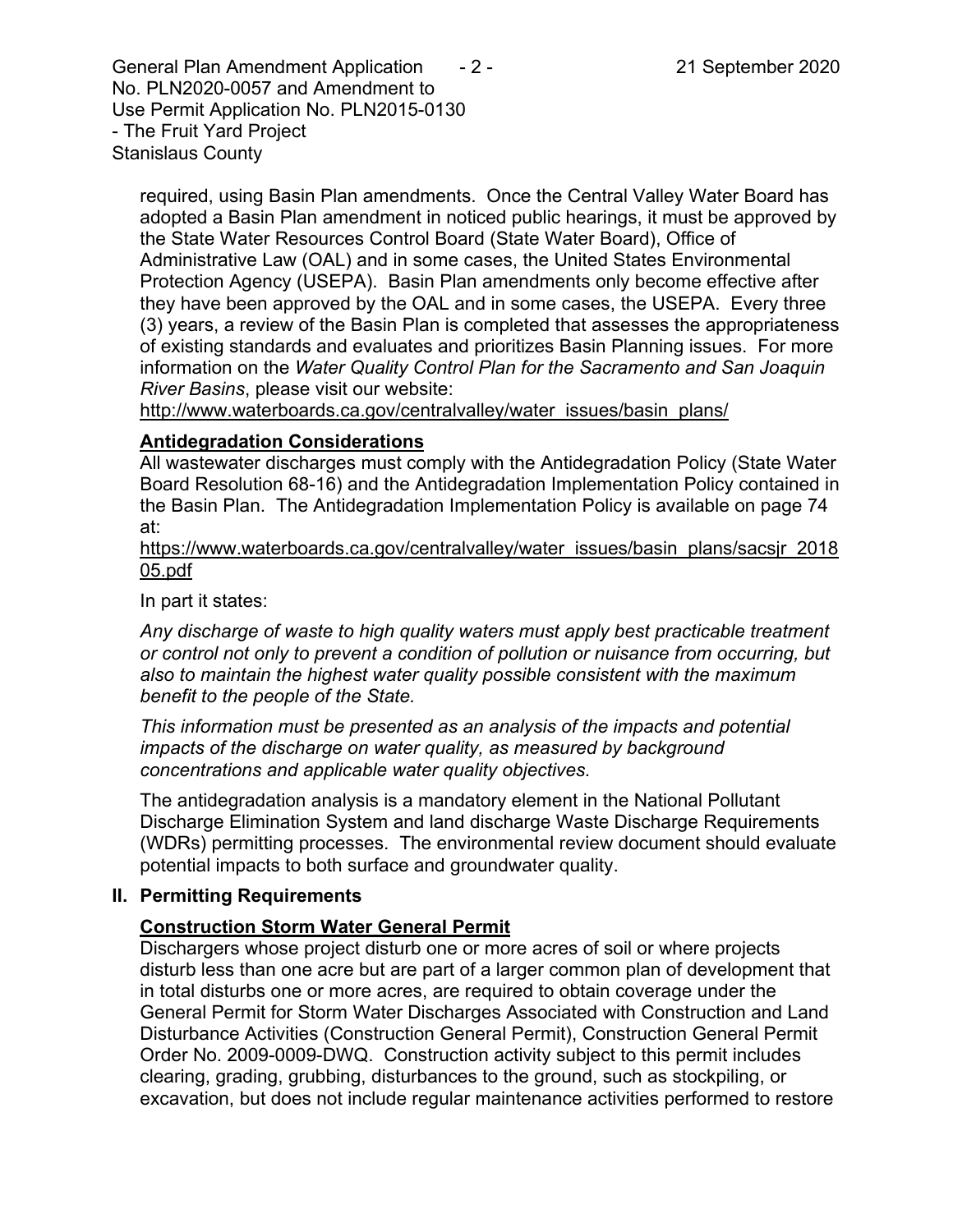General Plan Amendment Application  $-2$  - 21 September 2020 No. PLN2020-0057 and Amendment to Use Permit Application No. PLN2015-0130 - The Fruit Yard Project Stanislaus County

required, using Basin Plan amendments. Once the Central Valley Water Board has adopted a Basin Plan amendment in noticed public hearings, it must be approved by the State Water Resources Control Board (State Water Board), Office of Administrative Law (OAL) and in some cases, the United States Environmental Protection Agency (USEPA). Basin Plan amendments only become effective after they have been approved by the OAL and in some cases, the USEPA. Every three (3) years, a review of the Basin Plan is completed that assesses the appropriateness of existing standards and evaluates and prioritizes Basin Planning issues. For more information on the *Water Quality Control Plan for the Sacramento and San Joaquin River Basins*, please visit our website:

[http://www.waterboards.ca.gov/centralvalley/water\\_issues/basin\\_plans/](http://www.waterboards.ca.gov/centralvalley/water_issues/basin_plans/)

#### **Antidegradation Considerations**

All wastewater discharges must comply with the Antidegradation Policy (State Water Board Resolution 68-16) and the Antidegradation Implementation Policy contained in the Basin Plan. The Antidegradation Implementation Policy is available on page 74 at:

https://www.waterboards.ca.gov/centralvalley/water\_issues/basin\_plans/sacsjr\_2018 05.pdf

In part it states:

*Any discharge of waste to high quality waters must apply best practicable treatment or control not only to prevent a condition of pollution or nuisance from occurring, but also to maintain the highest water quality possible consistent with the maximum benefit to the people of the State.*

*This information must be presented as an analysis of the impacts and potential impacts of the discharge on water quality, as measured by background concentrations and applicable water quality objectives.*

The antidegradation analysis is a mandatory element in the National Pollutant Discharge Elimination System and land discharge Waste Discharge Requirements (WDRs) permitting processes. The environmental review document should evaluate potential impacts to both surface and groundwater quality.

#### **II. Permitting Requirements**

# **Construction Storm Water General Permit**

Dischargers whose project disturb one or more acres of soil or where projects disturb less than one acre but are part of a larger common plan of development that in total disturbs one or more acres, are required to obtain coverage under the General Permit for Storm Water Discharges Associated with Construction and Land Disturbance Activities (Construction General Permit), Construction General Permit Order No. 2009-0009-DWQ. Construction activity subject to this permit includes clearing, grading, grubbing, disturbances to the ground, such as stockpiling, or excavation, but does not include regular maintenance activities performed to restore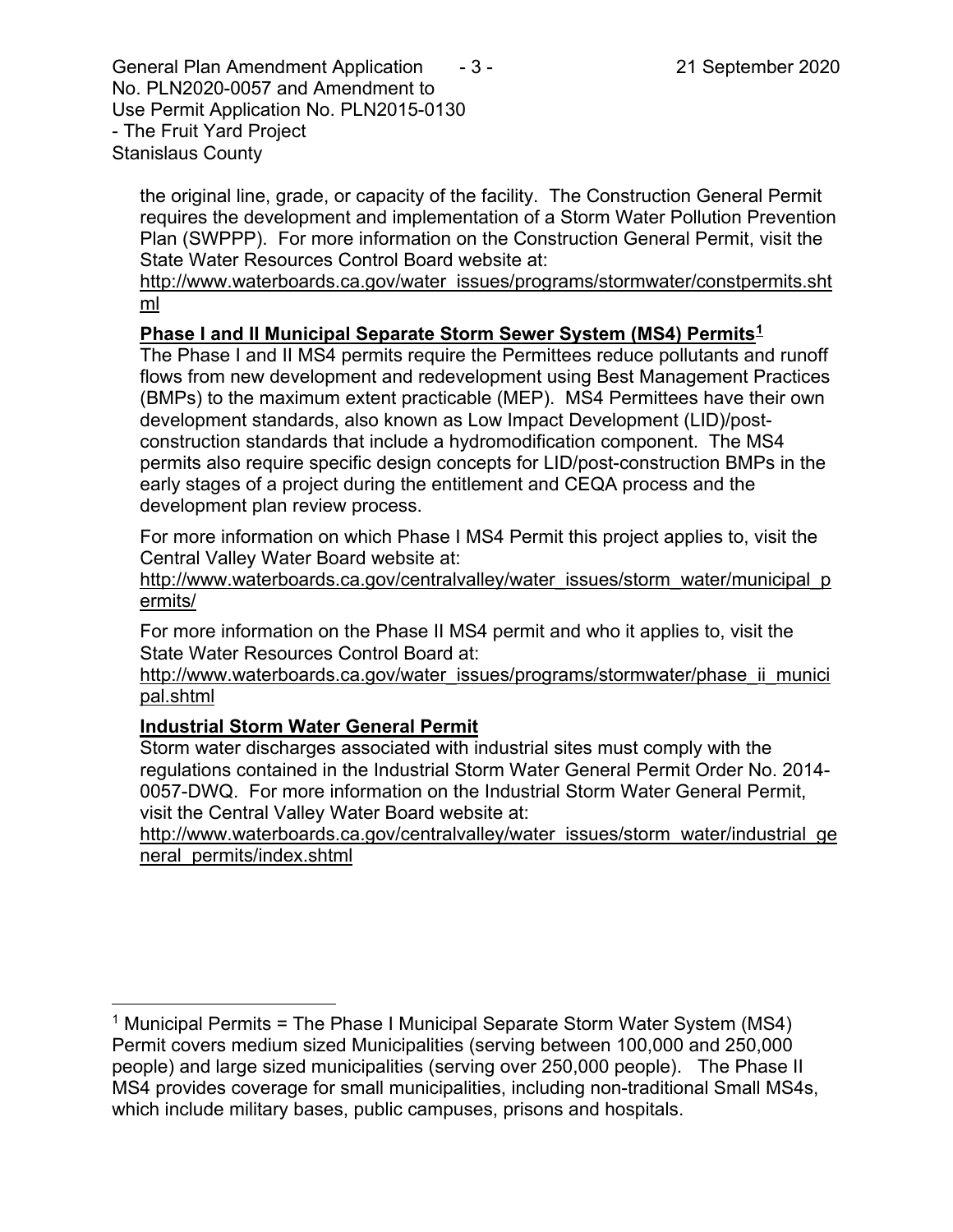General Plan Amendment Application  $-3$  - 21 September 2020 No. PLN2020-0057 and Amendment to Use Permit Application No. PLN2015-0130 - The Fruit Yard Project Stanislaus County

the original line, grade, or capacity of the facility. The Construction General Permit requires the development and implementation of a Storm Water Pollution Prevention Plan (SWPPP). For more information on the Construction General Permit, visit the State Water Resources Control Board website at:

[http://www.waterboards.ca.gov/water\\_issues/programs/stormwater/constpermits.sht](http://www.waterboards.ca.gov/water_issues/programs/stormwater/constpermits.shtml) [ml](http://www.waterboards.ca.gov/water_issues/programs/stormwater/constpermits.shtml)

# **Phase I and II Municipal Separate Storm Sewer System (MS4) Permits[1](#page-2-0)**

The Phase I and II MS4 permits require the Permittees reduce pollutants and runoff flows from new development and redevelopment using Best Management Practices (BMPs) to the maximum extent practicable (MEP). MS4 Permittees have their own development standards, also known as Low Impact Development (LID)/postconstruction standards that include a hydromodification component. The MS4 permits also require specific design concepts for LID/post-construction BMPs in the early stages of a project during the entitlement and CEQA process and the development plan review process.

For more information on which Phase I MS4 Permit this project applies to, visit the Central Valley Water Board website at:

http://www.waterboards.ca.gov/centralvalley/water\_issues/storm\_water/municipal\_p ermits/

For more information on the Phase II MS4 permit and who it applies to, visit the State Water Resources Control Board at:

http://www.waterboards.ca.gov/water\_issues/programs/stormwater/phase\_ii\_munici pal.shtml

# **Industrial Storm Water General Permit**

Storm water discharges associated with industrial sites must comply with the regulations contained in the Industrial Storm Water General Permit Order No. 2014- 0057-DWQ. For more information on the Industrial Storm Water General Permit, visit the Central Valley Water Board website at:

http://www.waterboards.ca.gov/centralvalley/water\_issues/storm\_water/industrial\_ge neral\_permits/index.shtml

<span id="page-2-0"></span><sup>&</sup>lt;sup>1</sup> Municipal Permits = The Phase I Municipal Separate Storm Water System (MS4) Permit covers medium sized Municipalities (serving between 100,000 and 250,000 people) and large sized municipalities (serving over 250,000 people). The Phase II MS4 provides coverage for small municipalities, including non-traditional Small MS4s, which include military bases, public campuses, prisons and hospitals.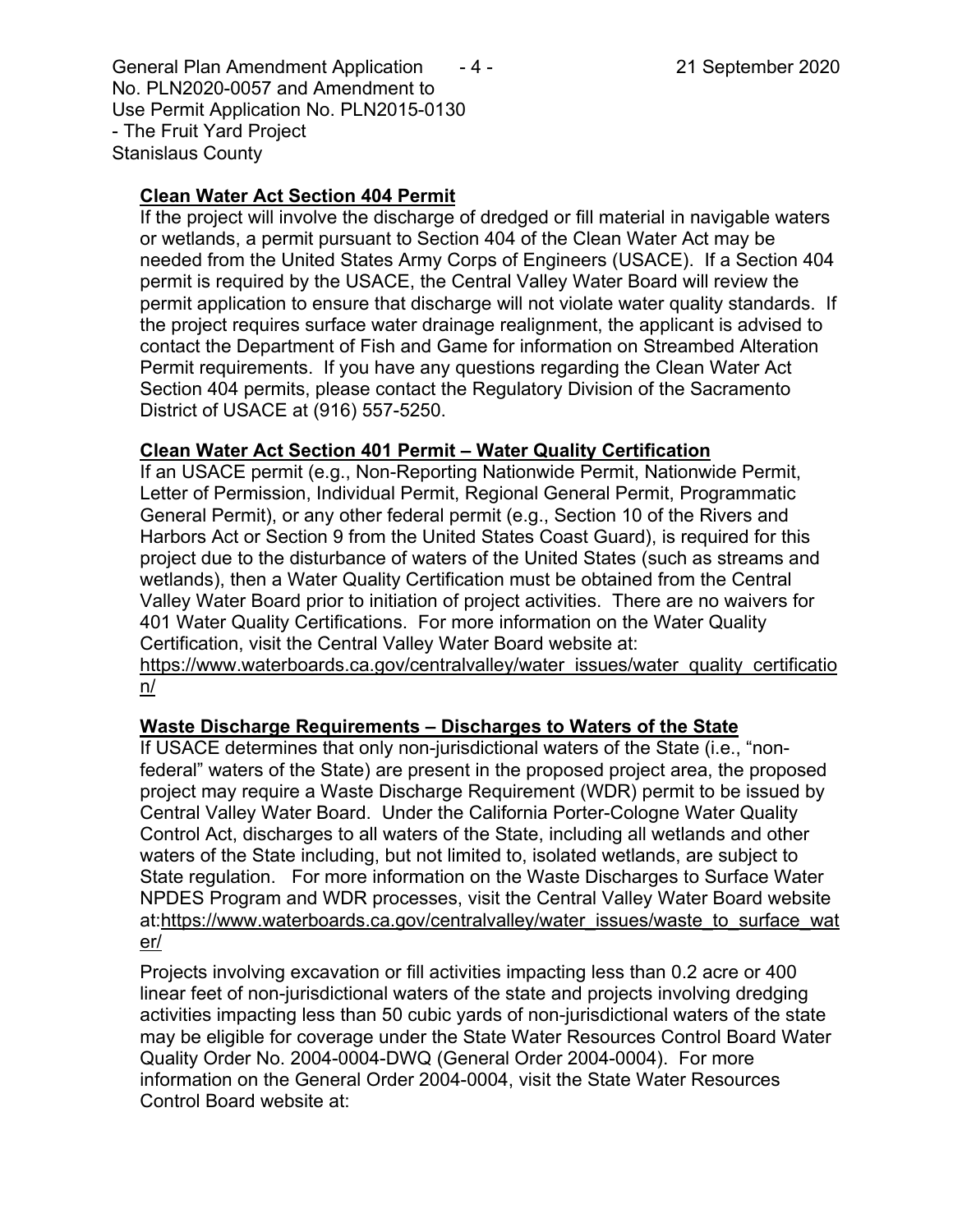General Plan Amendment Application  $-4$  - 21 September 2020 No. PLN2020-0057 and Amendment to Use Permit Application No. PLN2015-0130 - The Fruit Yard Project Stanislaus County

# **Clean Water Act Section 404 Permit**

If the project will involve the discharge of dredged or fill material in navigable waters or wetlands, a permit pursuant to Section 404 of the Clean Water Act may be needed from the United States Army Corps of Engineers (USACE). If a Section 404 permit is required by the USACE, the Central Valley Water Board will review the permit application to ensure that discharge will not violate water quality standards. If the project requires surface water drainage realignment, the applicant is advised to contact the Department of Fish and Game for information on Streambed Alteration Permit requirements. If you have any questions regarding the Clean Water Act Section 404 permits, please contact the Regulatory Division of the Sacramento District of USACE at (916) 557-5250.

#### **Clean Water Act Section 401 Permit – Water Quality Certification**

If an USACE permit (e.g., Non-Reporting Nationwide Permit, Nationwide Permit, Letter of Permission, Individual Permit, Regional General Permit, Programmatic General Permit), or any other federal permit (e.g., Section 10 of the Rivers and Harbors Act or Section 9 from the United States Coast Guard), is required for this project due to the disturbance of waters of the United States (such as streams and wetlands), then a Water Quality Certification must be obtained from the Central Valley Water Board prior to initiation of project activities. There are no waivers for 401 Water Quality Certifications. For more information on the Water Quality Certification, visit the Central Valley Water Board website at:

https://www.waterboards.ca.gov/centralvalley/water\_issues/water\_quality\_certificatio n/

# **Waste Discharge Requirements – Discharges to Waters of the State**

If USACE determines that only non-jurisdictional waters of the State (i.e., "nonfederal" waters of the State) are present in the proposed project area, the proposed project may require a Waste Discharge Requirement (WDR) permit to be issued by Central Valley Water Board. Under the California Porter-Cologne Water Quality Control Act, discharges to all waters of the State, including all wetlands and other waters of the State including, but not limited to, isolated wetlands, are subject to State regulation. For more information on the Waste Discharges to Surface Water NPDES Program and WDR processes, visit the Central Valley Water Board website at:https://www.waterboards.ca.gov/centralvalley/water\_issues/waste\_to\_surface\_wat er/

Projects involving excavation or fill activities impacting less than 0.2 acre or 400 linear feet of non-jurisdictional waters of the state and projects involving dredging activities impacting less than 50 cubic yards of non-jurisdictional waters of the state may be eligible for coverage under the State Water Resources Control Board Water Quality Order No. 2004-0004-DWQ (General Order 2004-0004). For more information on the General Order 2004-0004, visit the State Water Resources Control Board website at: